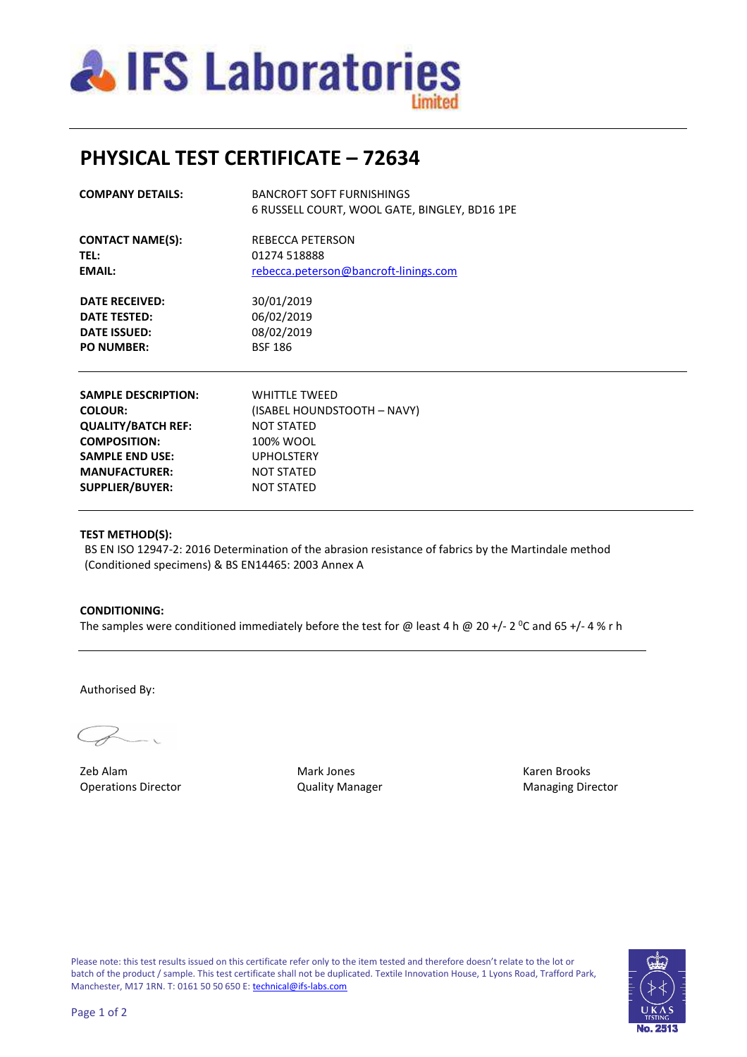

# **PHYSICAL TEST CERTIFICATE – 72634**

| <b>COMPANY DETAILS:</b> | <b>BANCROFT SOFT FURNISHINGS</b><br>6 RUSSELL COURT, WOOL GATE, BINGLEY, BD16 1PE |
|-------------------------|-----------------------------------------------------------------------------------|
| <b>CONTACT NAME(S):</b> | <b>REBECCA PETERSON</b>                                                           |
| <b>TEL:</b>             | 01274 518888                                                                      |
| EMAIL:                  | rebecca.peterson@bancroft-linings.com                                             |
| <b>DATE RECEIVED:</b>   | 30/01/2019                                                                        |
| DATE TESTED:            | 06/02/2019                                                                        |
| <b>DATE ISSUED:</b>     | 08/02/2019                                                                        |
| <b>PO NUMBER:</b>       | <b>BSF 186</b>                                                                    |
|                         |                                                                                   |

| <b>SAMPLE DESCRIPTION:</b> | <b>WHITTLE TWEED</b>        |
|----------------------------|-----------------------------|
| <b>COLOUR:</b>             | (ISABEL HOUNDSTOOTH - NAVY) |
| <b>QUALITY/BATCH REF:</b>  | <b>NOT STATED</b>           |
| <b>COMPOSITION:</b>        | 100% WOOL                   |
| <b>SAMPLE END USE:</b>     | <b>UPHOLSTERY</b>           |
| <b>MANUFACTURER:</b>       | <b>NOT STATED</b>           |
| <b>SUPPLIER/BUYER:</b>     | <b>NOT STATED</b>           |
|                            |                             |

### **TEST METHOD(S):**

 BS EN ISO 12947-2: 2016 Determination of the abrasion resistance of fabrics by the Martindale method (Conditioned specimens) & BS EN14465: 2003 Annex A

### **CONDITIONING:**

The samples were conditioned immediately before the test for @ least 4 h @ 20 +/- 2 <sup>o</sup>C and 65 +/- 4 % r h

Authorised By:

Zeb Alam Mark Jones Karen Brooks Operations Director **Contains Contains Contains Contains Contains Contains Contains Contains Contains Contains Contains Contains Contains Contains Contains Contains Contains Contains Contains Contains Contains Contains Con**